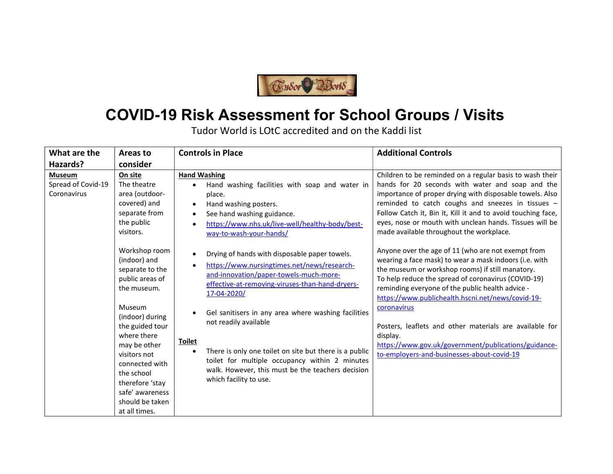

## COVID-19 Risk Assessment for School Groups / Visits

Tudor World is LOtC accredited and on the Kaddi list

| What are the                                       | Areas to                                                                                                                                                                                                                                                                                    | <b>Controls in Place</b>                                                                                                                                                                                                                                                                                                                                                                                                                                                                                                                                 | <b>Additional Controls</b>                                                                                                                                                                                                                                                                                                                                                                                                                                                                                                   |
|----------------------------------------------------|---------------------------------------------------------------------------------------------------------------------------------------------------------------------------------------------------------------------------------------------------------------------------------------------|----------------------------------------------------------------------------------------------------------------------------------------------------------------------------------------------------------------------------------------------------------------------------------------------------------------------------------------------------------------------------------------------------------------------------------------------------------------------------------------------------------------------------------------------------------|------------------------------------------------------------------------------------------------------------------------------------------------------------------------------------------------------------------------------------------------------------------------------------------------------------------------------------------------------------------------------------------------------------------------------------------------------------------------------------------------------------------------------|
| Hazards?                                           | consider                                                                                                                                                                                                                                                                                    |                                                                                                                                                                                                                                                                                                                                                                                                                                                                                                                                                          |                                                                                                                                                                                                                                                                                                                                                                                                                                                                                                                              |
| <b>Museum</b><br>Spread of Covid-19<br>Coronavirus | On site<br>The theatre<br>area (outdoor-<br>covered) and<br>separate from<br>the public<br>visitors.                                                                                                                                                                                        | <b>Hand Washing</b><br>Hand washing facilities with soap and water in<br>$\bullet$<br>place.<br>Hand washing posters.<br>$\bullet$<br>See hand washing guidance.<br>$\bullet$<br>https://www.nhs.uk/live-well/healthy-body/best-<br>$\bullet$<br>way-to-wash-your-hands/                                                                                                                                                                                                                                                                                 | Children to be reminded on a regular basis to wash their<br>hands for 20 seconds with water and soap and the<br>importance of proper drying with disposable towels. Also<br>reminded to catch coughs and sneezes in tissues -<br>Follow Catch it, Bin it, Kill it and to avoid touching face,<br>eyes, nose or mouth with unclean hands. Tissues will be<br>made available throughout the workplace.                                                                                                                         |
|                                                    | Workshop room<br>(indoor) and<br>separate to the<br>public areas of<br>the museum.<br>Museum<br>(indoor) during<br>the guided tour<br>where there<br>may be other<br>visitors not<br>connected with<br>the school<br>therefore 'stay<br>safe' awareness<br>should be taken<br>at all times. | Drying of hands with disposable paper towels.<br>$\bullet$<br>https://www.nursingtimes.net/news/research-<br>$\bullet$<br>and-innovation/paper-towels-much-more-<br>effective-at-removing-viruses-than-hand-dryers-<br>17-04-2020/<br>Gel sanitisers in any area where washing facilities<br>$\bullet$<br>not readily available<br><b>Toilet</b><br>There is only one toilet on site but there is a public<br>$\bullet$<br>toilet for multiple occupancy within 2 minutes<br>walk. However, this must be the teachers decision<br>which facility to use. | Anyone over the age of 11 (who are not exempt from<br>wearing a face mask) to wear a mask indoors (i.e. with<br>the museum or workshop rooms) if still manatory.<br>To help reduce the spread of coronavirus (COVID-19)<br>reminding everyone of the public health advice -<br>https://www.publichealth.hscni.net/news/covid-19-<br>coronavirus<br>Posters, leaflets and other materials are available for<br>display.<br>https://www.gov.uk/government/publications/guidance-<br>to-employers-and-businesses-about-covid-19 |